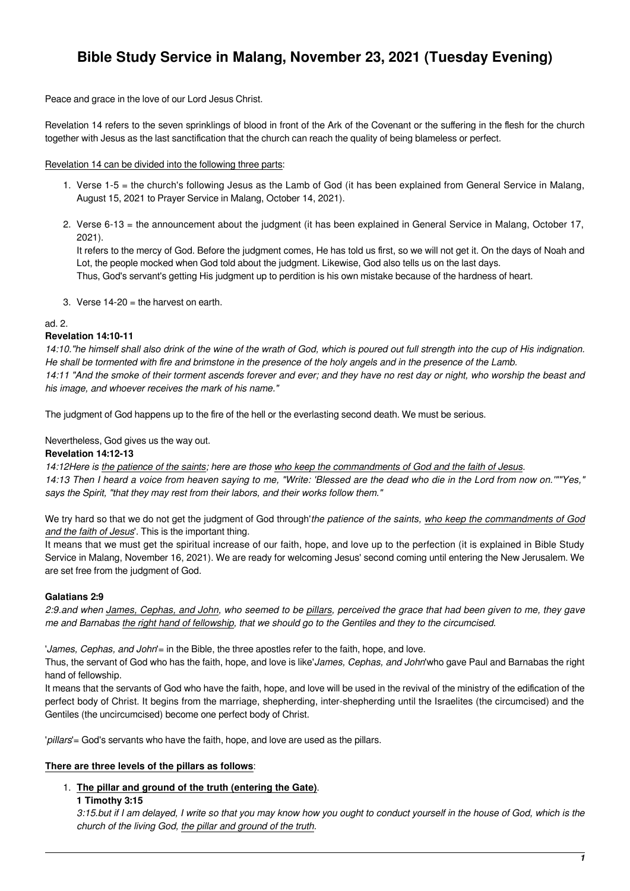# **Bible Study Service in Malang, November 23, 2021 (Tuesday Evening)**

Peace and grace in the love of our Lord Jesus Christ.

Revelation 14 refers to the seven sprinklings of blood in front of the Ark of the Covenant or the suffering in the flesh for the church together with Jesus as the last sanctification that the church can reach the quality of being blameless or perfect.

#### Revelation 14 can be divided into the following three parts:

- 1. Verse 1-5 = the church's following Jesus as the Lamb of God (it has been explained from General Service in Malang, August 15, 2021 to Prayer Service in Malang, October 14, 2021).
- 2. Verse 6-13 = the announcement about the judgment (it has been explained in General Service in Malang, October 17, 2021).

It refers to the mercy of God. Before the judgment comes, He has told us first, so we will not get it. On the days of Noah and Lot, the people mocked when God told about the judgment. Likewise, God also tells us on the last days. Thus, God's servant's getting His judgment up to perdition is his own mistake because of the hardness of heart.

3. Verse 14-20 = the harvest on earth.

#### ad. 2.

## **Revelation 14:10-11**

14:10."he himself shall also drink of the wine of the wrath of God, which is poured out full strength into the cup of His indignation. He shall be tormented with fire and brimstone in the presence of the holy angels and in the presence of the Lamb. 14:11 "And the smoke of their torment ascends forever and ever; and they have no rest day or night, who worship the beast and his image, and whoever receives the mark of his name."

The judgment of God happens up to the fire of the hell or the everlasting second death. We must be serious.

Nevertheless, God gives us the way out.

## **Revelation 14:12-13**

14:12Here is the patience of the saints; here are those who keep the commandments of God and the faith of Jesus.

14:13 Then I heard a voice from heaven saying to me, "Write: 'Blessed are the dead who die in the Lord from now on.'""Yes," says the Spirit, "that they may rest from their labors, and their works follow them."

We try hard so that we do not get the judgment of God through'the patience of the saints, who keep the commandments of God and the faith of Jesus'. This is the important thing.

It means that we must get the spiritual increase of our faith, hope, and love up to the perfection (it is explained in Bible Study Service in Malang, November 16, 2021). We are ready for welcoming Jesus' second coming until entering the New Jerusalem. We are set free from the judgment of God.

## **Galatians 2:9**

2:9.and when James, Cephas, and John, who seemed to be pillars, perceived the grace that had been given to me, they gave me and Barnabas the right hand of fellowship, that we should go to the Gentiles and they to the circumcised.

'James, Cephas, and John'= in the Bible, the three apostles refer to the faith, hope, and love.

Thus, the servant of God who has the faith, hope, and love is like'James, Cephas, and John'who gave Paul and Barnabas the right hand of fellowship.

It means that the servants of God who have the faith, hope, and love will be used in the revival of the ministry of the edification of the perfect body of Christ. It begins from the marriage, shepherding, inter-shepherding until the Israelites (the circumcised) and the Gentiles (the uncircumcised) become one perfect body of Christ.

'pillars'= God's servants who have the faith, hope, and love are used as the pillars.

## **There are three levels of the pillars as follows**:

## 1. **The pillar and ground of the truth (entering the Gate)**.

#### **1 Timothy 3:15**

3:15.but if I am delayed, I write so that you may know how you ought to conduct yourself in the house of God, which is the church of the living God, the pillar and ground of the truth.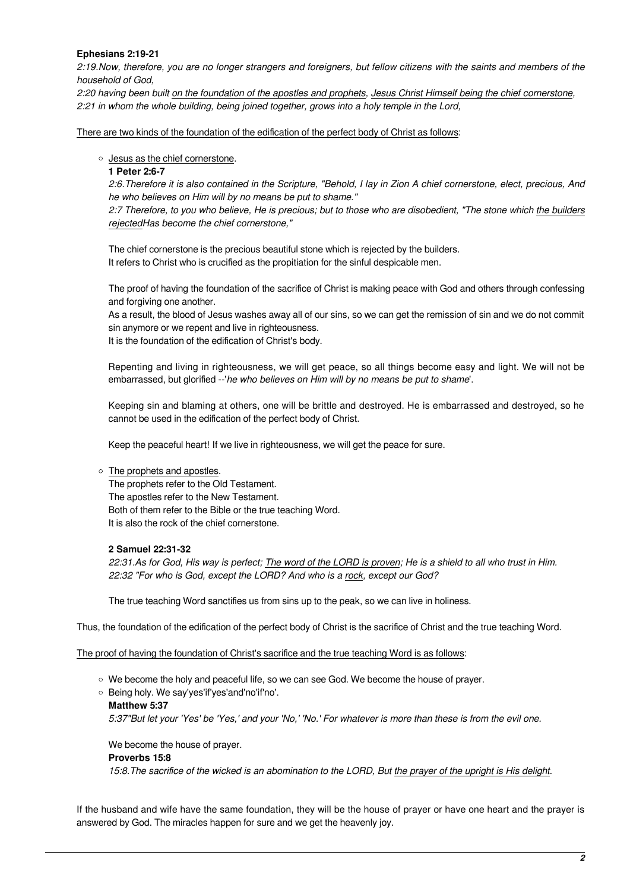# **Ephesians 2:19-21**

2:19.Now, therefore, you are no longer strangers and foreigners, but fellow citizens with the saints and members of the household of God,

2:20 having been built on the foundation of the apostles and prophets, Jesus Christ Himself being the chief cornerstone, 2:21 in whom the whole building, being joined together, grows into a holy temple in the Lord,

There are two kinds of the foundation of the edification of the perfect body of Christ as follows:

## o Jesus as the chief cornerstone.

## **1 Peter 2:6-7**

2:6.Therefore it is also contained in the Scripture, "Behold, I lay in Zion A chief cornerstone, elect, precious, And he who believes on Him will by no means be put to shame."

2:7 Therefore, to you who believe, He is precious; but to those who are disobedient, "The stone which the builders rejectedHas become the chief cornerstone,"

The chief cornerstone is the precious beautiful stone which is rejected by the builders. It refers to Christ who is crucified as the propitiation for the sinful despicable men.

The proof of having the foundation of the sacrifice of Christ is making peace with God and others through confessing and forgiving one another.

As a result, the blood of Jesus washes away all of our sins, so we can get the remission of sin and we do not commit sin anymore or we repent and live in righteousness.

It is the foundation of the edification of Christ's body.

Repenting and living in righteousness, we will get peace, so all things become easy and light. We will not be embarrassed, but glorified --'he who believes on Him will by no means be put to shame'.

Keeping sin and blaming at others, one will be brittle and destroyed. He is embarrassed and destroyed, so he cannot be used in the edification of the perfect body of Christ.

Keep the peaceful heart! If we live in righteousness, we will get the peace for sure.

## The prophets and apostles.

The prophets refer to the Old Testament. The apostles refer to the New Testament. Both of them refer to the Bible or the true teaching Word. It is also the rock of the chief cornerstone.

## **2 Samuel 22:31-32**

22:31.As for God, His way is perfect; The word of the LORD is proven; He is a shield to all who trust in Him. 22:32 "For who is God, except the LORD? And who is a rock, except our God?

The true teaching Word sanctifies us from sins up to the peak, so we can live in holiness.

Thus, the foundation of the edification of the perfect body of Christ is the sacrifice of Christ and the true teaching Word.

The proof of having the foundation of Christ's sacrifice and the true teaching Word is as follows:

- We become the holy and peaceful life, so we can see God. We become the house of prayer.
- Being holy. We say'yes'if'yes'and'no'if'no'.

#### **Matthew 5:37**

5:37"But let your 'Yes' be 'Yes,' and your 'No,' 'No.' For whatever is more than these is from the evil one.

We become the house of prayer.

## **Proverbs 15:8**

15:8.The sacrifice of the wicked is an abomination to the LORD, But the prayer of the upright is His delight.

If the husband and wife have the same foundation, they will be the house of prayer or have one heart and the prayer is answered by God. The miracles happen for sure and we get the heavenly joy.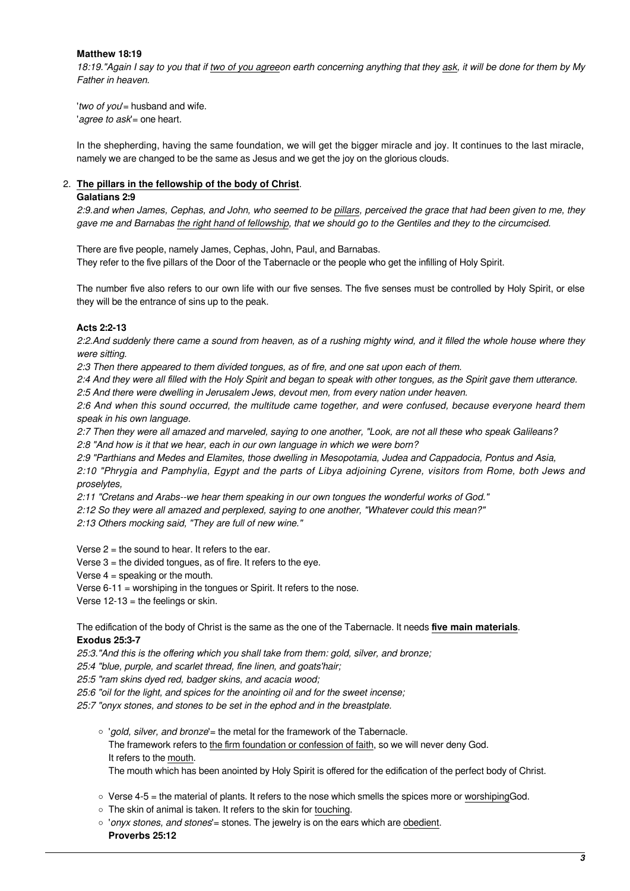## **Matthew 18:19**

18:19."Again I say to you that if two of you agreeon earth concerning anything that they ask, it will be done for them by My Father in heaven.

'two of you'= husband and wife. 'agree to ask'= one heart.

In the shepherding, having the same foundation, we will get the bigger miracle and joy. It continues to the last miracle, namely we are changed to be the same as Jesus and we get the joy on the glorious clouds.

# 2. **The pillars in the fellowship of the body of Christ**.

#### **Galatians 2:9**

2:9.and when James, Cephas, and John, who seemed to be pillars, perceived the grace that had been given to me, they gave me and Barnabas the right hand of fellowship, that we should go to the Gentiles and they to the circumcised.

There are five people, namely James, Cephas, John, Paul, and Barnabas. They refer to the five pillars of the Door of the Tabernacle or the people who get the infilling of Holy Spirit.

The number five also refers to our own life with our five senses. The five senses must be controlled by Holy Spirit, or else they will be the entrance of sins up to the peak.

## **Acts 2:2-13**

2:2.And suddenly there came a sound from heaven, as of a rushing mighty wind, and it filled the whole house where they were sitting.

2:3 Then there appeared to them divided tongues, as of fire, and one sat upon each of them.

2:4 And they were all filled with the Holy Spirit and began to speak with other tongues, as the Spirit gave them utterance.

2:5 And there were dwelling in Jerusalem Jews, devout men, from every nation under heaven.

2:6 And when this sound occurred, the multitude came together, and were confused, because everyone heard them speak in his own language.

2:7 Then they were all amazed and marveled, saying to one another, "Look, are not all these who speak Galileans? 2:8 "And how is it that we hear, each in our own language in which we were born?

2:9 "Parthians and Medes and Elamites, those dwelling in Mesopotamia, Judea and Cappadocia, Pontus and Asia,

2:10 "Phrygia and Pamphylia, Egypt and the parts of Libya adjoining Cyrene, visitors from Rome, both Jews and proselytes,

2:11 "Cretans and Arabs--we hear them speaking in our own tongues the wonderful works of God."

2:12 So they were all amazed and perplexed, saying to one another, "Whatever could this mean?"

2:13 Others mocking said, "They are full of new wine."

Verse  $2 =$  the sound to hear. It refers to the ear.

Verse  $3 =$  the divided tongues, as of fire. It refers to the eye.

Verse  $4 = \text{speaking or the mouth.}$ 

Verse 6-11 = worshiping in the tongues or Spirit. It refers to the nose.

Verse  $12-13$  = the feelings or skin.

The edification of the body of Christ is the same as the one of the Tabernacle. It needs **five main materials**. **Exodus 25:3-7**

25:3."And this is the offering which you shall take from them: gold, silver, and bronze;

25:4 "blue, purple, and scarlet thread, fine linen, and goats'hair;

25:5 "ram skins dyed red, badger skins, and acacia wood;

25:6 "oil for the light, and spices for the anointing oil and for the sweet incense;

25:7 "onyx stones, and stones to be set in the ephod and in the breastplate.

- o 'gold, silver, and bronze'= the metal for the framework of the Tabernacle. The framework refers to the firm foundation or confession of faith, so we will never deny God. It refers to the mouth. The mouth which has been anointed by Holy Spirit is offered for the edification of the perfect body of Christ.
- $\circ$  Verse 4-5 = the material of plants. It refers to the nose which smells the spices more or worshiping God.
- $\circ$  The skin of animal is taken. It refers to the skin for touching.
- $\circ$  'onyx stones, and stones' = stones. The jewelry is on the ears which are obedient. **Proverbs 25:12**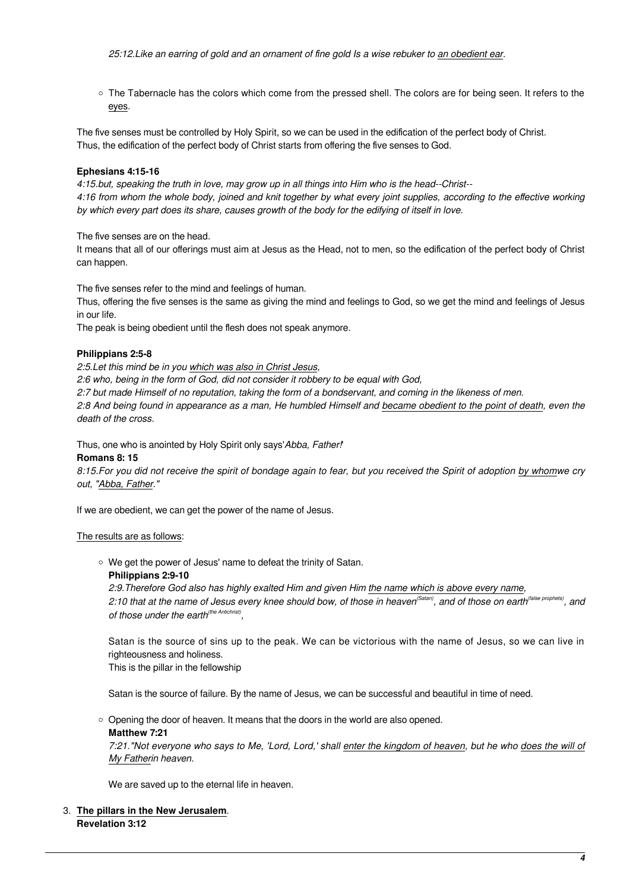25:12.Like an earring of gold and an ornament of fine gold Is a wise rebuker to an obedient ear.

○ The Tabernacle has the colors which come from the pressed shell. The colors are for being seen. It refers to the eyes.

The five senses must be controlled by Holy Spirit, so we can be used in the edification of the perfect body of Christ. Thus, the edification of the perfect body of Christ starts from offering the five senses to God.

## **Ephesians 4:15-16**

4:15.but, speaking the truth in love, may grow up in all things into Him who is the head--Christ-- 4:16 from whom the whole body, joined and knit together by what every joint supplies, according to the effective working by which every part does its share, causes growth of the body for the edifying of itself in love.

The five senses are on the head.

It means that all of our offerings must aim at Jesus as the Head, not to men, so the edification of the perfect body of Christ can happen.

The five senses refer to the mind and feelings of human.

Thus, offering the five senses is the same as giving the mind and feelings to God, so we get the mind and feelings of Jesus in our life.

The peak is being obedient until the flesh does not speak anymore.

## **Philippians 2:5-8**

2:5.Let this mind be in you which was also in Christ Jesus,

2:6 who, being in the form of God, did not consider it robbery to be equal with God,

2:7 but made Himself of no reputation, taking the form of a bondservant, and coming in the likeness of men.

2:8 And being found in appearance as a man, He humbled Himself and became obedient to the point of death, even the death of the cross.

Thus, one who is anointed by Holy Spirit only says'Abba, Father!'

## **Romans 8: 15**

8:15.For you did not receive the spirit of bondage again to fear, but you received the Spirit of adoption by whomwe cry out, "Abba, Father."

If we are obedient, we can get the power of the name of Jesus.

## The results are as follows:

We get the power of Jesus' name to defeat the trinity of Satan.

#### **Philippians 2:9-10**

2:9.Therefore God also has highly exalted Him and given Him the name which is above every name, 2:10 that at the name of Jesus every knee should bow, of those in heaven<sup>(Satan)</sup>, and of those on earth<sup>(false prophets)</sup>, and of those under the earth<sup>(the Antichrist)</sup>,

Satan is the source of sins up to the peak. We can be victorious with the name of Jesus, so we can live in righteousness and holiness.

This is the pillar in the fellowship

Satan is the source of failure. By the name of Jesus, we can be successful and beautiful in time of need.

○ Opening the door of heaven. It means that the doors in the world are also opened. **Matthew 7:21**

7:21."Not everyone who says to Me, 'Lord, Lord,' shall enter the kingdom of heaven, but he who does the will of My Fatherin heaven.

We are saved up to the eternal life in heaven.

3. **The pillars in the New Jerusalem**. **Revelation 3:12**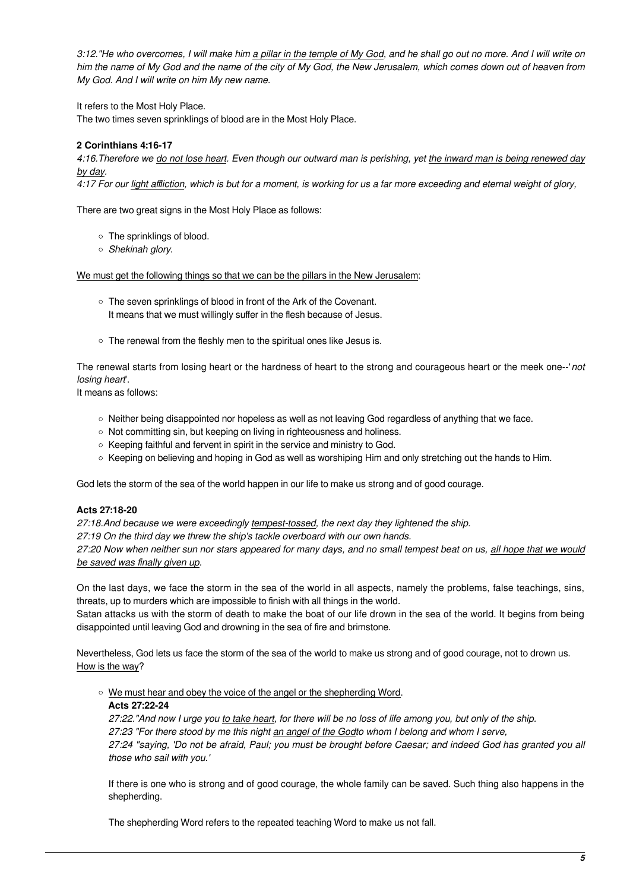3:12."He who overcomes, I will make him a pillar in the temple of My God, and he shall go out no more. And I will write on him the name of My God and the name of the city of My God, the New Jerusalem, which comes down out of heaven from My God. And I will write on him My new name.

It refers to the Most Holy Place.

The two times seven sprinklings of blood are in the Most Holy Place.

# **2 Corinthians 4:16-17**

4:16.Therefore we do not lose heart. Even though our outward man is perishing, yet the inward man is being renewed day by day.

4:17 For our light affliction, which is but for a moment, is working for us a far more exceeding and eternal weight of glory,

There are two great signs in the Most Holy Place as follows:

- The sprinklings of blood.
- o Shekinah glory.

We must get the following things so that we can be the pillars in the New Jerusalem:

- The seven sprinklings of blood in front of the Ark of the Covenant. It means that we must willingly suffer in the flesh because of Jesus.
- o The renewal from the fleshly men to the spiritual ones like Jesus is.

The renewal starts from losing heart or the hardness of heart to the strong and courageous heart or the meek one--'not losing heart'.

It means as follows:

- $\circ$  Neither being disappointed nor hopeless as well as not leaving God regardless of anything that we face.
- o Not committing sin, but keeping on living in righteousness and holiness.
- $\circ$  Keeping faithful and fervent in spirit in the service and ministry to God.
- $\circ$  Keeping on believing and hoping in God as well as worshiping Him and only stretching out the hands to Him.

God lets the storm of the sea of the world happen in our life to make us strong and of good courage.

## **Acts 27:18-20**

27:18.And because we were exceedingly tempest-tossed, the next day they lightened the ship.

27:19 On the third day we threw the ship's tackle overboard with our own hands.

27:20 Now when neither sun nor stars appeared for many days, and no small tempest beat on us, all hope that we would be saved was finally given up.

On the last days, we face the storm in the sea of the world in all aspects, namely the problems, false teachings, sins, threats, up to murders which are impossible to finish with all things in the world.

Satan attacks us with the storm of death to make the boat of our life drown in the sea of the world. It begins from being disappointed until leaving God and drowning in the sea of fire and brimstone.

Nevertheless, God lets us face the storm of the sea of the world to make us strong and of good courage, not to drown us. How is the way?

o We must hear and obey the voice of the angel or the shepherding Word.

#### **Acts 27:22-24**

27:22."And now I urge you to take heart, for there will be no loss of life among you, but only of the ship. 27:23 "For there stood by me this night an angel of the Godto whom I belong and whom I serve, 27:24 "saying, 'Do not be afraid, Paul; you must be brought before Caesar; and indeed God has granted you all those who sail with you.'

If there is one who is strong and of good courage, the whole family can be saved. Such thing also happens in the shepherding.

The shepherding Word refers to the repeated teaching Word to make us not fall.